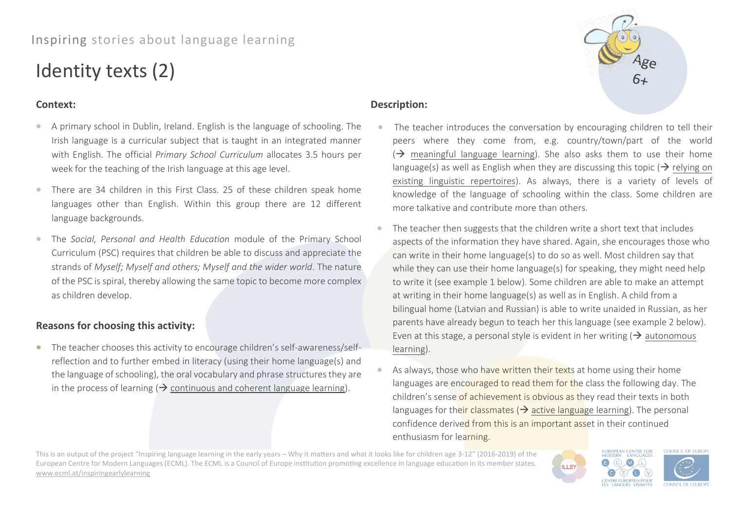# Inspiring stories about language learning

# Identity texts (2)

## **Context:**

- A primary school in Dublin, Ireland. English is the language of schooling. The Irish language is a curricular subject that is taught in an integrated manner with English. The official *Primary School Curriculum* allocates 3.5 hours per week for the teaching of the Irish language at this age level.
- There are 34 children in this First Class. 25 of these children speak home languages other than English. Within this group there are 12 different language backgrounds.
- The *Social, Personal and Health Education* module of the Primary School Curriculum (PSC) requires that children be able to discuss and appreciate the strands of *Myself; Myself and others; Myself and the wider world*. The nature of the PSC is spiral, thereby allowing the same topic to become more complex as children develop.

# **Reasons for choosing this activity:**

• The teacher chooses this activity to encourage children's self-awareness/selfreflection and to further embed in literacy (using their home language(s) and the language of schooling), the oral vocabulary and phrase structures they are in the process of learning ( $\rightarrow$  continuous and coherent language learning).

### **Description:**

- The teacher introduces the conversation by encouraging children to tell their peers where they come from, e.g. country/town/part of the world  $\Theta$  meaningful language learning). She also asks them to use their home language(s) as well as English when they are discussing this topic ( $\rightarrow$  relying on existing linguistic repertoires). As always, there is a variety of levels of knowledge of the language of schooling within the class. Some children are more talkative and contribute more than others.
- The teacher then suggests that the children write a short text that includes aspects of the information they have shared. Again, she encourages those who can write in their home language(s) to do so as well. Most children say that while they can use their home language(s) for speaking, they might need help to write it (see example 1 below). Some children are able to make an attempt at writing in their home language(s) as well as in English. A child from a bilingual home (Latvian and Russian) is able to write unaided in Russian, as her parents have already begun to teach her this language (see example 2 below). Even at this stage, a personal style is evident in her writing ( $\rightarrow$  autonomous learning).
- As always, those who have written their texts at home using their home languages are encouraged to read them for the class the following day. The children's sense of achievement is obvious as they read their texts in both languages for their classmates ( $\rightarrow$  active language learning). The personal confidence derived from this is an important asset in their continued enthusiasm for learning.

This is an output of the project "Inspiring language learning in the early years – Why it matters and what it looks like for children age 3-12" (2016-2019) of the European Centre for Modern Languages (ECML). The ECML is a Council of Europe institution promoting excellence in language education in its member states. [www.ecml.at/inspiringearlylearning](http://www.ecml.at/inspiringearlylearning)